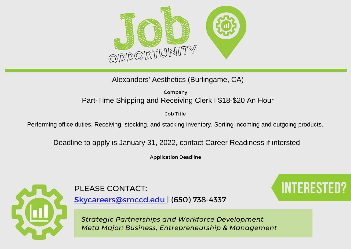

Alexanders' Aesthetics (Burlingame, CA)

Company Part-Time Shipping and Receiving Clerk I \$18-\$20 An Hour

Job Title

Performing office duties, Receiving, stocking, and stacking inventory. Sorting incoming and outgoing products.

Deadline to apply is January 31, 2022, contact Career Readiness if intersted

Application Deadline



PLEASE CONTACT: **Interested and the set of the set of the set of the set of the set of the set of the set of the set of the set of the set of the set of the set of the set of the set of the set of the set of the set of the** 

[Skycareers@smccd.edu | \(650\) 738-4337](mailto:skycareers@smccd.edu)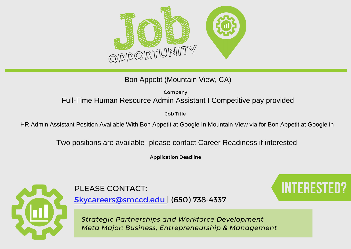

Bon Appetit (Mountain View, CA)

Company Full-Time Human Resource Admin Assistant I Competitive pay provided

Job Title

HR Admin Assistant Position Available With Bon Appetit at Google In Mountain View via for Bon Appetit at Google in

Two positions are available- please contact Career Readiness if interested

Application Deadline



PLEASE CONTACT: **Interested and the set of the set of the set of the set of the set of the set of the set of the set of the set of the set of the set of the set of the set of the set of the set of the set of the set of the** 

[Skycareers@smccd.edu | \(650\) 738-4337](mailto:skycareers@smccd.edu)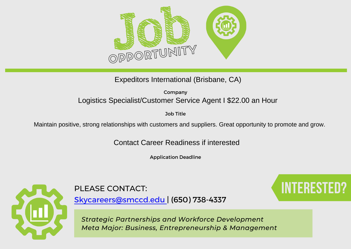

Expeditors International (Brisbane, CA)

Company Logistics Specialist/Customer Service Agent I \$22.00 an Hour

Job Title

Maintain positive, strong relationships with customers and suppliers. Great opportunity to promote and grow.

Contact Career Readiness if interested

Application Deadline



## PLEASE CONTACT: **Interested Contact**:

[Skycareers@smccd.edu | \(650\) 738-4337](mailto:skycareers@smccd.edu)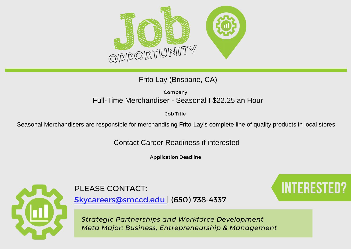

Frito Lay (Brisbane, CA)

Company Full-Time Merchandiser - Seasonal I \$22.25 an Hour

Job Title

Seasonal Merchandisers are responsible for merchandising Frito-Lay's complete line of quality products in local stores

Contact Career Readiness if interested

Application Deadline



## PLEASE CONTACT: **Interested Contact**:

[Skycareers@smccd.edu | \(650\) 738-4337](mailto:skycareers@smccd.edu)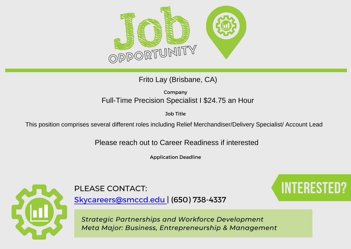

Frito Lay (Brisbane, CA)

Company Full-Time Precision Specialist I \$24.75 an Hour

Job Title

This position comprises several different roles including Relief Merchandiser/Delivery Specialist/ Account Lead

Please reach out to Career Readiness if interested

Application Deadline



PLEASE CONTACT: **Interested Contact:** 

[Skycareers@smccd.edu | \(650\) 738-4337](mailto:skycareers@smccd.edu)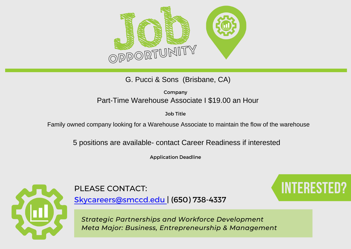

G. Pucci & Sons (Brisbane, CA)

Company Part-Time Warehouse Associate I \$19.00 an Hour

Job Title

Family owned company looking for a Warehouse Associate to maintain the flow of the warehouse

5 positions are available- contact Career Readiness if interested

Application Deadline



PLEASE CONTACT: **Interested Contact**:

[Skycareers@smccd.edu | \(650\) 738-4337](mailto:skycareers@smccd.edu)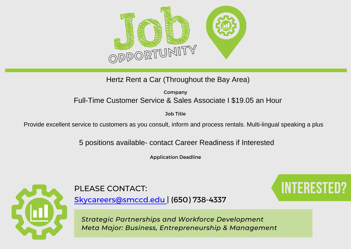

### Hertz Rent a Car (Throughout the Bay Area)

Company Full-Time Customer Service & Sales Associate I \$19.05 an Hour

Job Title

Provide excellent service to customers as you consult, inform and process rentals. Multi-lingual speaking a plus

5 positions available- contact Career Readiness if Interested

Application Deadline



PLEASE CONTACT: **Interested and the set of the set of the set of the set of the set of the set of the set of the set of the set of the set of the set of the set of the set of the set of the set of the set of the set of the** 

[Skycareers@smccd.edu | \(650\) 738-4337](mailto:skycareers@smccd.edu)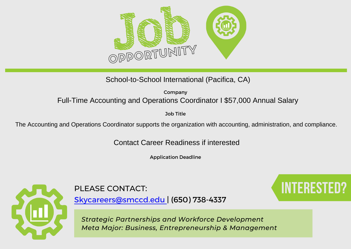

School-to-School International (Pacifica, CA)

Company Full-Time Accounting and Operations Coordinator I \$57,000 Annual Salary

Job Title

The Accounting and Operations Coordinator supports the organization with accounting, administration, and compliance.

Contact Career Readiness if interested

Application Deadline



## PLEASE CONTACT: **Interested and the set of the set of the set of the set of the set of the set of the set of the set of the set of the set of the set of the set of the set of the set of the set of the set of the set of the**

[Skycareers@smccd.edu | \(650\) 738-4337](mailto:skycareers@smccd.edu)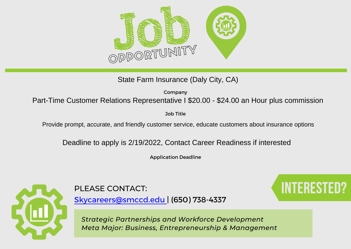

State Farm Insurance (Daly City, CA)

Company

Part-Time Customer Relations Representative I \$20.00 - \$24.00 an Hour plus commission

Job Title

Provide prompt, accurate, and friendly customer service, educate customers about insurance options

Deadline to apply is 2/19/2022, Contact Career Readiness if interested

Application Deadline



[Skycareers@smccd.edu | \(650\) 738-4337](mailto:skycareers@smccd.edu)

PLEASE CONTACT: **Interested Contact**: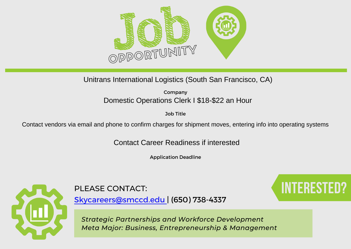

Unitrans International Logistics (South San Francisco, CA)

Company Domestic Operations Clerk I \$18-\$22 an Hour

Job Title

Contact vendors via email and phone to confirm charges for shipment moves, entering info into operating systems

Contact Career Readiness if interested

Application Deadline



[Skycareers@smccd.edu | \(650\) 738-4337](mailto:skycareers@smccd.edu)

*Strategic Partnerships and Workforce Development Meta Major: Business, Entrepreneurship & Management*

# PLEASE CONTACT: **Interested and the set of the set of the set of the set of the set of the set of the set of the set of the set of the set of the set of the set of the set of the set of the set of the set of the set of the**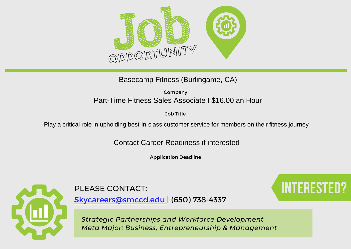

### Basecamp Fitness (Burlingame, CA)

Company Part-Time Fitness Sales Associate I \$16.00 an Hour

Job Title

Play a critical role in upholding best-in-class customer service for members on their fitness journey

Contact Career Readiness if interested

Application Deadline



## PLEASE CONTACT: **Interested and Contact Services**

[Skycareers@smccd.edu | \(650\) 738-4337](mailto:skycareers@smccd.edu)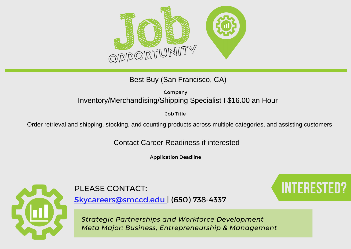

Best Buy (San Francisco, CA)

Company Inventory/Merchandising/Shipping Specialist I \$16.00 an Hour

Job Title

Order retrieval and shipping, stocking, and counting products across multiple categories, and assisting customers

Contact Career Readiness if interested

Application Deadline



PLEASE CONTACT: **Interested Contact**:

[Skycareers@smccd.edu | \(650\) 738-4337](mailto:skycareers@smccd.edu)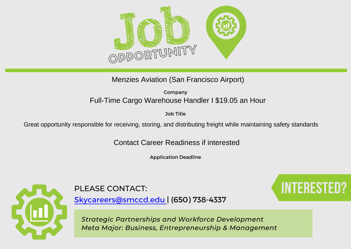

Menzies Aviation (San Francisco Airport)

Company Full-Time Cargo Warehouse Handler I \$19.05 an Hour

Job Title

Great opportunity responsible for receiving, storing, and distributing freight while maintaining safety standards

Contact Career Readiness if interested

Application Deadline



## PLEASE CONTACT: **Interested Contact**:

[Skycareers@smccd.edu | \(650\) 738-4337](mailto:skycareers@smccd.edu)